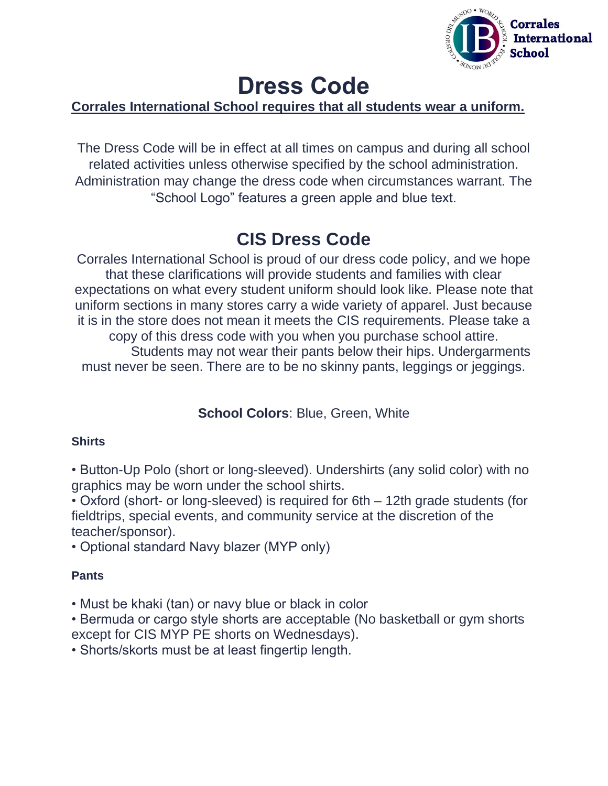

# **Dress Code**

# **Corrales International School requires that all students wear a uniform.**

The Dress Code will be in effect at all times on campus and during all school related activities unless otherwise specified by the school administration. Administration may change the dress code when circumstances warrant. The "School Logo" features a green apple and blue text.

# **CIS Dress Code**

Corrales International School is proud of our dress code policy, and we hope that these clarifications will provide students and families with clear expectations on what every student uniform should look like. Please note that uniform sections in many stores carry a wide variety of apparel. Just because it is in the store does not mean it meets the CIS requirements. Please take a copy of this dress code with you when you purchase school attire. Students may not wear their pants below their hips. Undergarments must never be seen. There are to be no skinny pants, leggings or jeggings.

# **School Colors**: Blue, Green, White

#### **Shirts**

• Button-Up Polo (short or long-sleeved). Undershirts (any solid color) with no graphics may be worn under the school shirts.

• Oxford (short- or long-sleeved) is required for 6th – 12th grade students (for fieldtrips, special events, and community service at the discretion of the teacher/sponsor).

• Optional standard Navy blazer (MYP only)

#### **Pants**

• Must be khaki (tan) or navy blue or black in color

• Bermuda or cargo style shorts are acceptable (No basketball or gym shorts except for CIS MYP PE shorts on Wednesdays).

• Shorts/skorts must be at least fingertip length.